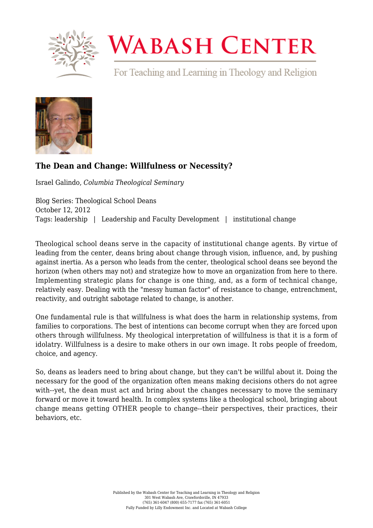

## **WABASH CENTER**

For Teaching and Learning in Theology and Religion



## **[The Dean and Change: Willfulness or Necessity?](https://www.wabashcenter.wabash.edu/2012/10/the-dean-and-change-willfulness-or-necessity/)**

Israel Galindo, *Columbia Theological Seminary*

Blog Series: Theological School Deans October 12, 2012 Tags: leadership | Leadership and Faculty Development | institutional change

Theological school deans serve in the capacity of institutional change agents. By virtue of leading from the center, deans bring about change through vision, influence, and, by pushing against inertia. As a person who leads from the center, theological school deans see beyond the horizon (when others may not) and strategize how to move an organization from here to there. Implementing strategic plans for change is one thing, and, as a form of technical change, relatively easy. Dealing with the "messy human factor" of resistance to change, entrenchment, reactivity, and outright sabotage related to change, is another.

One fundamental rule is that willfulness is what does the harm in relationship systems, from families to corporations. The best of intentions can become corrupt when they are forced upon others through willfulness. My theological interpretation of willfulness is that it is a form of idolatry. Willfulness is a desire to make others in our own image. It robs people of freedom, choice, and agency.

So, deans as leaders need to bring about change, but they can't be willful about it. Doing the necessary for the good of the organization often means making decisions others do not agree with--yet, the dean must act and bring about the changes necessary to move the seminary forward or move it toward health. In complex systems like a theological school, bringing about change means getting OTHER people to change--their perspectives, their practices, their behaviors, etc.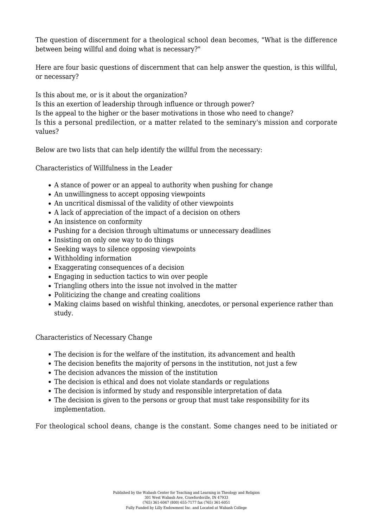The question of discernment for a theological school dean becomes, "What is the difference between being willful and doing what is necessary?"

Here are four basic questions of discernment that can help answer the question, is this willful, or necessary?

Is this about me, or is it about the organization?

Is this an exertion of leadership through influence or through power?

Is the appeal to the higher or the baser motivations in those who need to change?

Is this a personal predilection, or a matter related to the seminary's mission and corporate values?

Below are two lists that can help identify the willful from the necessary:

Characteristics of Willfulness in the Leader

- A stance of power or an appeal to authority when pushing for change
- An unwillingness to accept opposing viewpoints
- An uncritical dismissal of the validity of other viewpoints
- A lack of appreciation of the impact of a decision on others
- An insistence on conformity
- Pushing for a decision through ultimatums or unnecessary deadlines
- Insisting on only one way to do things
- Seeking ways to silence opposing viewpoints
- Withholding information
- Exaggerating consequences of a decision
- Engaging in seduction tactics to win over people
- Triangling others into the issue not involved in the matter
- Politicizing the change and creating coalitions
- Making claims based on wishful thinking, anecdotes, or personal experience rather than study.

Characteristics of Necessary Change

- The decision is for the welfare of the institution, its advancement and health
- The decision benefits the majority of persons in the institution, not just a few
- The decision advances the mission of the institution
- The decision is ethical and does not violate standards or regulations
- The decision is informed by study and responsible interpretation of data
- The decision is given to the persons or group that must take responsibility for its implementation.

For theological school deans, change is the constant. Some changes need to be initiated or